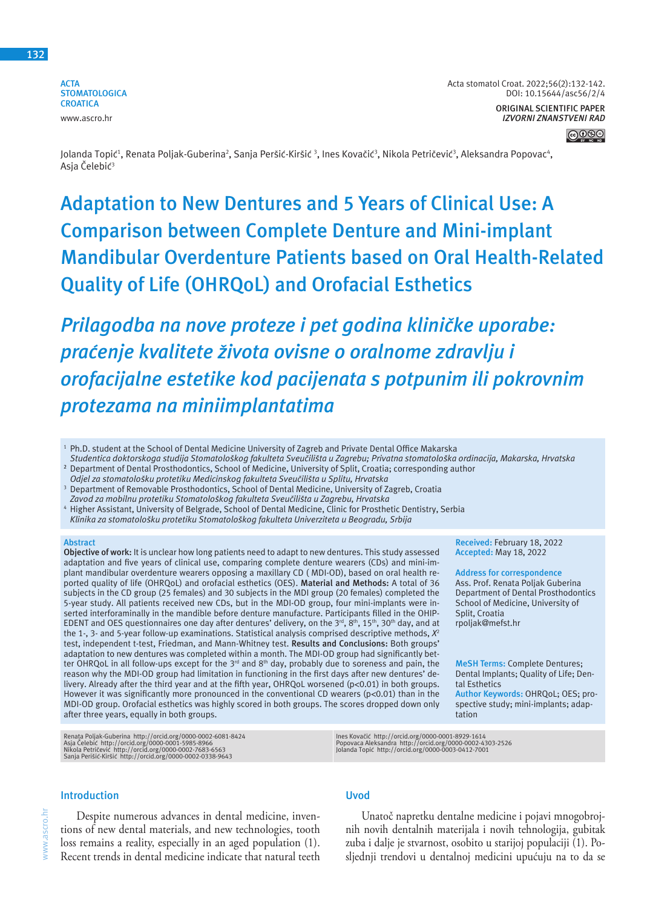**ACTA STOMATOLOGICA CROATICA** www.ascro.hr

#### **ORIGINAL SCIENTIFIC PAPER** *IZVORNI ZNANSTVENI RAD*



Jolanda Topić<sup>1</sup>, Renata Poljak-Guberina<sup>2</sup>, Sanja Peršić-Kiršić <sup>3</sup>, Ines Kovačić<sup>3</sup>, Nikola Petričević<sup>3</sup>, Aleksandra Popovac<sup>4</sup>, Asja Čelebić<sup>3</sup>

# **Adaptation to New Dentures and 5 Years of Clinical Use: A Comparison between Complete Denture and Mini-implant Mandibular Overdenture Patients based on Oral Health-Related Quality of Life (OHRQoL) and Orofacial Esthetics**

*Prilagodba na nove proteze i pet godina kliničke uporabe: praćenje kvalitete života ovisne o oralnome zdravlju i orofacijalne estetike kod pacijenata s potpunim ili pokrovnim protezama na miniimplantatima* 

<sup>1</sup> Ph.D. student at the School of Dental Medicine University of Zagreb and Private Dental Office Makarska

- *Studentica doktorskoga studija Stomatološkog fakulteta Sveučilišta u Zagrebu; Privatna stomatološka ordinacija, Makarska, Hrvatska* **<sup>2</sup>** Department of Dental Prosthodontics, School of Medicine, University of Split, Croatia; corresponding author
- *Odjel za stomatološku protetiku Medicinskog fakulteta Sveučilišta u Splitu, Hrvatska*
- <sup>3</sup> Department of Removable Prosthodontics, School of Dental Medicine, University of Zagreb, Croatia
- *Zavod za mobilnu protetiku Stomatološkog fakulteta Sveučilišta u Zagrebu, Hrvatska* <sup>4</sup> Higher Assistant, University of Belgrade, School of Dental Medicine, Clinic for Prosthetic Dentistry, Serbia
- *Klinika za stomatološku protetiku Stomatološkog fakulteta Univerziteta u Beogradu, Srbija*

#### **Abstract**

**Objective of work:** It is unclear how long patients need to adapt to new dentures. This study assessed adaptation and five years of clinical use, comparing complete denture wearers (CDs) and mini-implant mandibular overdenture wearers opposing a maxillary CD ( MDI-OD), based on oral health reported quality of life (OHRQoL) and orofacial esthetics (OES). **Material and Methods:** A total of 36 subjects in the CD group (25 females) and 30 subjects in the MDI group (20 females) completed the 5-year study. All patients received new CDs, but in the MDI-OD group, four mini-implants were inserted interforaminally in the mandible before denture manufacture. Participants filled in the OHIP-EDENT and OES questionnaires one day after dentures' delivery, on the 3<sup>rd</sup>, 8<sup>th</sup>, 15<sup>th</sup>, 30<sup>th</sup> day, and at the 1-, 3- and 5-year follow-up examinations. Statistical analysis comprised descriptive methods, *X*<sup>2</sup> test, independent t-test, Friedman, and Mann-Whitney test. **Results and Conclusions:** Both groups' adaptation to new dentures was completed within a month. The MDI-OD group had significantly better OHRQoL in all follow-ups except for the 3<sup>rd</sup> and 8<sup>th</sup> day, probably due to soreness and pain, the reason why the MDI-OD group had limitation in functioning in the first days after new dentures' delivery. Already after the third year and at the fifth year, OHRQoL worsened (p<0.01) in both groups. However it was significantly more pronounced in the conventional CD wearers (p<0.01) than in the MDI-OD group. Orofacial esthetics was highly scored in both groups. The scores dropped down only after three years, equally in both groups.

Renata Poljak-Guberina http://orcid.org/0000-0002-6081-8424<br>Asja Čelebić http://orcid.org/0000-0001-5985-8966<br>Nikola Petričević http://orcid.org/0000-0002-7683-6563<br>Sanja Perišić-Kiršić http://orcid.org/0000-0002-0338-

## **Introduction**

www.ascro.hr

www.ascro.hr

Despite numerous advances in dental medicine, inventions of new dental materials, and new technologies, tooth loss remains a reality, especially in an aged population (1). Recent trends in dental medicine indicate that natural teeth

# **Uvod**

Unatoč napretku dentalne medicine i pojavi mnogobrojnih novih dentalnih materijala i novih tehnologija, gubitak zuba i dalje je stvarnost, osobito u starijoj populaciji (1). Posljednji trendovi u dentalnoj medicini upućuju na to da se

**Received:** February 18, 2022 **Accepted:** May 18, 2022 **Address for correspondence** Ass. Prof. Renata Poljak Guberina Department of Dental Prosthodontics School of Medicine, University of

**MeSH Terms:** Complete Dentures; Dental Implants; Quality of Life; Den-

**Author Keywords:** OHRQoL; OES; prospective study; mini-implants; adap-

Split, Croatia rpoljak@mefst.hr

tal Esthetics

tation

Ines Kovačić http://orcid.org/0000-0001-8929-1614 Popovaca Aleksandra http://orcid.org/0000-0002-4303-2526 Jolanda Topić http://orcid.org/0000-0003-0412-7001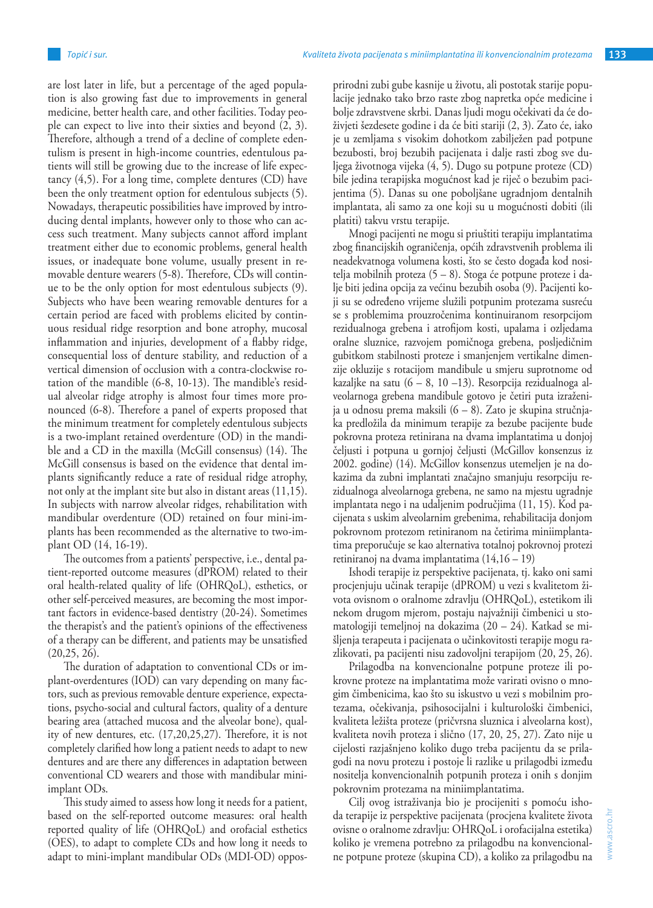are lost later in life, but a percentage of the aged population is also growing fast due to improvements in general medicine, better health care, and other facilities. Today people can expect to live into their sixties and beyond  $(2, 3)$ . Therefore, although a trend of a decline of complete edentulism is present in high-income countries, edentulous patients will still be growing due to the increase of life expectancy (4,5). For a long time, complete dentures (CD) have been the only treatment option for edentulous subjects (5). Nowadays, therapeutic possibilities have improved by introducing dental implants, however only to those who can access such treatment. Many subjects cannot afford implant treatment either due to economic problems, general health issues, or inadequate bone volume, usually present in removable denture wearers (5-8). Therefore, CDs will continue to be the only option for most edentulous subjects (9). Subjects who have been wearing removable dentures for a certain period are faced with problems elicited by continuous residual ridge resorption and bone atrophy, mucosal inflammation and injuries, development of a flabby ridge, consequential loss of denture stability, and reduction of a vertical dimension of occlusion with a contra-clockwise rotation of the mandible (6-8, 10-13). The mandible's residual alveolar ridge atrophy is almost four times more pronounced (6-8). Therefore a panel of experts proposed that the minimum treatment for completely edentulous subjects is a two-implant retained overdenture (OD) in the mandible and a CD in the maxilla (McGill consensus) (14). The McGill consensus is based on the evidence that dental implants significantly reduce a rate of residual ridge atrophy, not only at the implant site but also in distant areas (11,15). In subjects with narrow alveolar ridges, rehabilitation with mandibular overdenture (OD) retained on four mini-implants has been recommended as the alternative to two-implant OD (14, 16-19).

The outcomes from a patients' perspective, i.e., dental patient-reported outcome measures (dPROM) related to their oral health-related quality of life (OHRQoL), esthetics, or other self-perceived measures, are becoming the most important factors in evidence-based dentistry (20-24). Sometimes the therapist's and the patient's opinions of the effectiveness of a therapy can be different, and patients may be unsatisfied (20,25, 26).

The duration of adaptation to conventional CDs or implant-overdentures (IOD) can vary depending on many factors, such as previous removable denture experience, expectations, psycho-social and cultural factors, quality of a denture bearing area (attached mucosa and the alveolar bone), quality of new dentures, etc. (17,20,25,27). Therefore, it is not completely clarified how long a patient needs to adapt to new dentures and are there any differences in adaptation between conventional CD wearers and those with mandibular miniimplant ODs.

This study aimed to assess how long it needs for a patient, based on the self-reported outcome measures: oral health reported quality of life (OHRQoL) and orofacial esthetics (OES), to adapt to complete CDs and how long it needs to adapt to mini-implant mandibular ODs (MDI-OD) opposprirodni zubi gube kasnije u životu, ali postotak starije populacije jednako tako brzo raste zbog napretka opće medicine i bolje zdravstvene skrbi. Danas ljudi mogu očekivati da će doživjeti šezdesete godine i da će biti stariji (2, 3). Zato će, iako je u zemljama s visokim dohotkom zabilježen pad potpune bezubosti, broj bezubih pacijenata i dalje rasti zbog sve duljega životnoga vijeka (4, 5). Dugo su potpune proteze (CD) bile jedina terapijska mogućnost kad je riječ o bezubim pacijentima (5). Danas su one poboljšane ugradnjom dentalnih implantata, ali samo za one koji su u mogućnosti dobiti (ili platiti) takvu vrstu terapije.

Mnogi pacijenti ne mogu si priuštiti terapiju implantatima zbog financijskih ograničenja, općih zdravstvenih problema ili neadekvatnoga volumena kosti, što se često događa kod nositelja mobilnih proteza (5 – 8). Stoga će potpune proteze i dalje biti jedina opcija za većinu bezubih osoba (9). Pacijenti koji su se određeno vrijeme služili potpunim protezama susreću se s problemima prouzročenima kontinuiranom resorpcijom rezidualnoga grebena i atrofijom kosti, upalama i ozljedama oralne sluznice, razvojem pomičnoga grebena, posljedičnim gubitkom stabilnosti proteze i smanjenjem vertikalne dimenzije okluzije s rotacijom mandibule u smjeru suprotnome od kazaljke na satu (6 – 8, 10 –13). Resorpcija rezidualnoga alveolarnoga grebena mandibule gotovo je četiri puta izraženija u odnosu prema maksili (6 – 8). Zato je skupina stručnjaka predložila da minimum terapije za bezube pacijente bude pokrovna proteza retinirana na dvama implantatima u donjoj čeljusti i potpuna u gornjoj čeljusti (McGillov konsenzus iz 2002. godine) (14). McGillov konsenzus utemeljen je na dokazima da zubni implantati značajno smanjuju resorpciju rezidualnoga alveolarnoga grebena, ne samo na mjestu ugradnje implantata nego i na udaljenim područjima (11, 15). Kod pacijenata s uskim alveolarnim grebenima, rehabilitacija donjom pokrovnom protezom retiniranom na četirima miniimplantatima preporučuje se kao alternativa totalnoj pokrovnoj protezi retiniranoj na dvama implantatima (14,16 – 19)

Ishodi terapije iz perspektive pacijenata, tj. kako oni sami procjenjuju učinak terapije (dPROM) u vezi s kvalitetom života ovisnom o oralnome zdravlju (OHRQoL), estetikom ili nekom drugom mjerom, postaju najvažniji čimbenici u stomatologiji temeljnoj na dokazima (20 – 24). Katkad se mišljenja terapeuta i pacijenata o učinkovitosti terapije mogu razlikovati, pa pacijenti nisu zadovoljni terapijom (20, 25, 26).

Prilagodba na konvencionalne potpune proteze ili pokrovne proteze na implantatima može varirati ovisno o mnogim čimbenicima, kao što su iskustvo u vezi s mobilnim protezama, očekivanja, psihosocijalni i kulturološki čimbenici, kvaliteta ležišta proteze (pričvrsna sluznica i alveolarna kost), kvaliteta novih proteza i slično (17, 20, 25, 27). Zato nije u cijelosti razjašnjeno koliko dugo treba pacijentu da se prilagodi na novu protezu i postoje li razlike u prilagodbi između nositelja konvencionalnih potpunih proteza i onih s donjim pokrovnim protezama na miniimplantatima.

Cilj ovog istraživanja bio je procijeniti s pomoću ishoda terapije iz perspektive pacijenata (procjena kvalitete života ovisne o oralnome zdravlju: OHRQoL i orofacijalna estetika) koliko je vremena potrebno za prilagodbu na konvencionalne potpune proteze (skupina CD), a koliko za prilagodbu na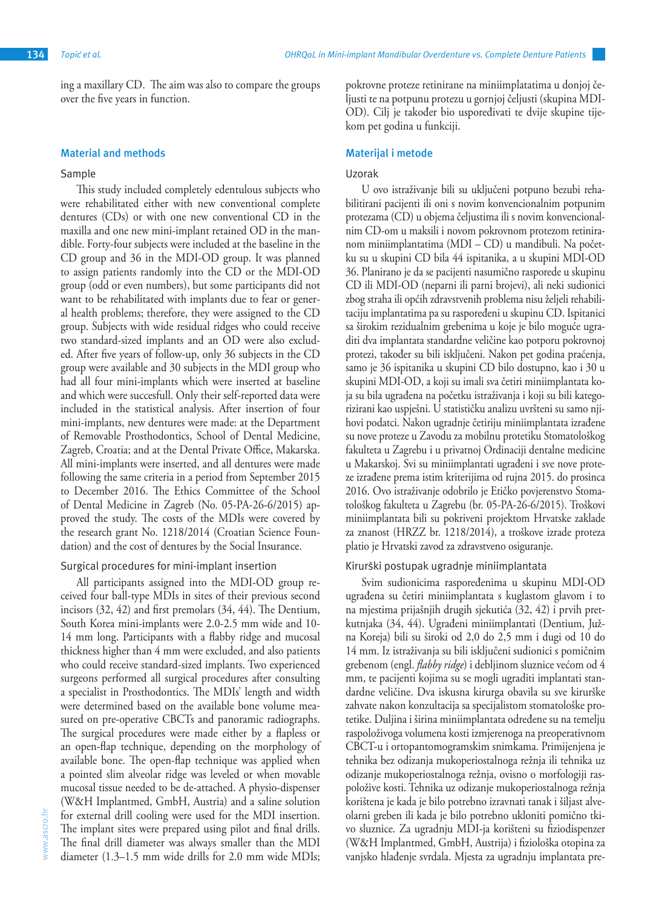ing a maxillary CD. The aim was also to compare the groups over the five years in function.

# **Material and methods**

#### Sample

This study included completely edentulous subjects who were rehabilitated either with new conventional complete dentures (CDs) or with one new conventional CD in the maxilla and one new mini-implant retained OD in the mandible. Forty-four subjects were included at the baseline in the CD group and 36 in the MDI-OD group. It was planned to assign patients randomly into the CD or the MDI-OD group (odd or even numbers), but some participants did not want to be rehabilitated with implants due to fear or general health problems; therefore, they were assigned to the CD group. Subjects with wide residual ridges who could receive two standard-sized implants and an OD were also excluded. After five years of follow-up, only 36 subjects in the CD group were available and 30 subjects in the MDI group who had all four mini-implants which were inserted at baseline and which were succesfull. Only their self-reported data were included in the statistical analysis. After insertion of four mini-implants, new dentures were made: at the Department of Removable Prosthodontics, School of Dental Medicine, Zagreb, Croatia; and at the Dental Private Office, Makarska. All mini-implants were inserted, and all dentures were made following the same criteria in a period from September 2015 to December 2016. The Ethics Committee of the School of Dental Medicine in Zagreb (No. 05‐PA‐26‐6/2015) approved the study. The costs of the MDIs were covered by the research grant No. 1218/2014 (Croatian Science Foundation) and the cost of dentures by the Social Insurance.

# Surgical procedures for mini-implant insertion

All participants assigned into the MDI-OD group received four ball-type MDIs in sites of their previous second incisors (32, 42) and first premolars (34, 44). The Dentium, South Korea mini-implants were 2.0-2.5 mm wide and 10- 14 mm long. Participants with a flabby ridge and mucosal thickness higher than 4 mm were excluded, and also patients who could receive standard-sized implants. Two experienced surgeons performed all surgical procedures after consulting a specialist in Prosthodontics. The MDIs' length and width were determined based on the available bone volume measured on pre-operative CBCTs and panoramic radiographs. The surgical procedures were made either by a flapless or an open-flap technique, depending on the morphology of available bone. The open-flap technique was applied when a pointed slim alveolar ridge was leveled or when movable mucosal tissue needed to be de-attached. A physio-dispenser (W&H Implantmed, GmbH, Austria) and a saline solution for external drill cooling were used for the MDI insertion. The implant sites were prepared using pilot and final drills. The final drill diameter was always smaller than the MDI diameter (1.3–1.5 mm wide drills for 2.0 mm wide MDIs;

pokrovne proteze retinirane na miniimplatatima u donjoj čeljusti te na potpunu protezu u gornjoj čeljusti (skupina MDI-OD). Cilj je također bio uspoređivati te dvije skupine tijekom pet godina u funkciji.

#### **Materijal i metode**

#### Uzorak

U ovo istraživanje bili su uključeni potpuno bezubi rehabilitirani pacijenti ili oni s novim konvencionalnim potpunim protezama (CD) u objema čeljustima ili s novim konvencionalnim CD-om u maksili i novom pokrovnom protezom retiniranom miniimplantatima (MDI – CD) u mandibuli. Na početku su u skupini CD bila 44 ispitanika, a u skupini MDI-OD 36. Planirano je da se pacijenti nasumično rasporede u skupinu CD ili MDI-OD (neparni ili parni brojevi), ali neki sudionici zbog straha ili općih zdravstvenih problema nisu željeli rehabilitaciju implantatima pa su raspoređeni u skupinu CD. Ispitanici sa širokim rezidualnim grebenima u koje je bilo moguće ugraditi dva implantata standardne veličine kao potporu pokrovnoj protezi, također su bili isključeni. Nakon pet godina praćenja, samo je 36 ispitanika u skupini CD bilo dostupno, kao i 30 u skupini MDI-OD, a koji su imali sva četiri miniimplantata koja su bila ugrađena na početku istraživanja i koji su bili kategorizirani kao uspješni. U statističku analizu uvršteni su samo njihovi podatci. Nakon ugradnje četiriju miniimplantata izrađene su nove proteze u Zavodu za mobilnu protetiku Stomatološkog fakulteta u Zagrebu i u privatnoj Ordinaciji dentalne medicine u Makarskoj. Svi su miniimplantati ugrađeni i sve nove proteze izrađene prema istim kriterijima od rujna 2015. do prosinca 2016. Ovo istraživanje odobrilo je Etičko povjerenstvo Stomatološkog fakulteta u Zagrebu (br. 05‐PA‐26‐6/2015). Troškovi miniimplantata bili su pokriveni projektom Hrvatske zaklade za znanost (HRZZ br. 1218/2014), a troškove izrade proteza platio je Hrvatski zavod za zdravstveno osiguranje.

### Kirurški postupak ugradnje miniimplantata

Svim sudionicima raspoređenima u skupinu MDI-OD ugrađena su četiri miniimplantata s kuglastom glavom i to na mjestima prijašnjih drugih sjekutića (32, 42) i prvih pretkutnjaka (34, 44). Ugrađeni miniimplantati (Dentium, Južna Koreja) bili su široki od 2,0 do 2,5 mm i dugi od 10 do 14 mm. Iz istraživanja su bili isključeni sudionici s pomičnim grebenom (engl. *flabby ridge*) i debljinom sluznice većom od 4 mm, te pacijenti kojima su se mogli ugraditi implantati standardne veličine. Dva iskusna kirurga obavila su sve kirurške zahvate nakon konzultacija sa specijalistom stomatološke protetike. Duljina i širina miniimplantata određene su na temelju raspoloživoga volumena kosti izmjerenoga na preoperativnom CBCT-u i ortopantomogramskim snimkama. Primijenjena je tehnika bez odizanja mukoperiostalnoga režnja ili tehnika uz odizanje mukoperiostalnoga režnja, ovisno o morfologiji raspoložive kosti. Tehnika uz odizanje mukoperiostalnoga režnja korištena je kada je bilo potrebno izravnati tanak i šiljast alveolarni greben ili kada je bilo potrebno ukloniti pomično tkivo sluznice. Za ugradnju MDI-ja korišteni su fiziodispenzer (W&H Implantmed, GmbH, Austrija) i fiziološka otopina za vanjsko hlađenje svrdala. Mjesta za ugradnju implantata pre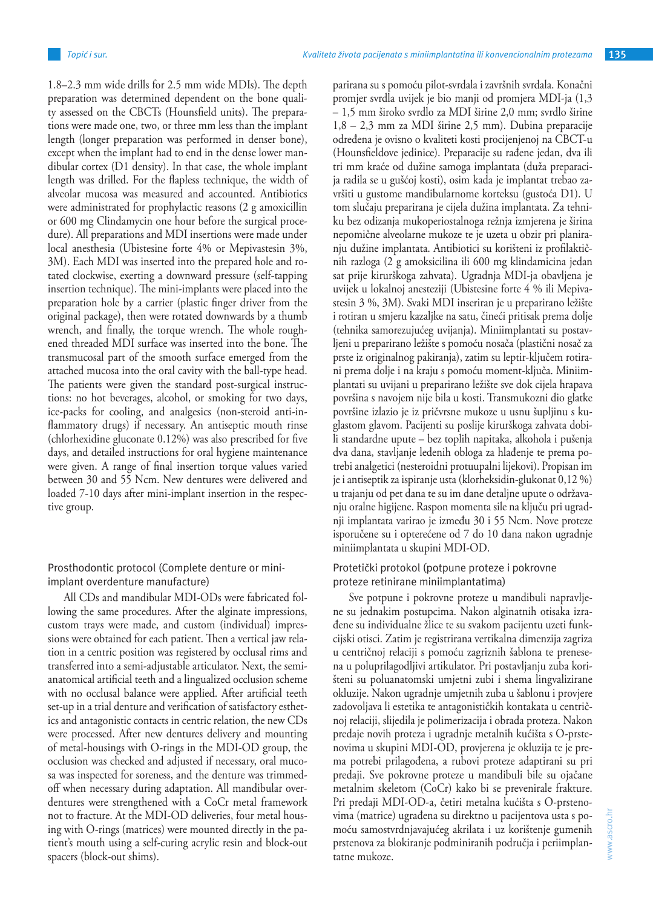1.8–2.3 mm wide drills for 2.5 mm wide MDIs). The depth preparation was determined dependent on the bone quality assessed on the CBCTs (Hounsfield units). The preparations were made one, two, or three mm less than the implant length (longer preparation was performed in denser bone), except when the implant had to end in the dense lower mandibular cortex (D1 density). In that case, the whole implant length was drilled. For the flapless technique, the width of alveolar mucosa was measured and accounted. Antibiotics were administrated for prophylactic reasons (2 g amoxicillin or 600 mg Clindamycin one hour before the surgical procedure). All preparations and MDI insertions were made under local anesthesia (Ubistesine forte 4% or Mepivastesin 3%, 3M). Each MDI was inserted into the prepared hole and rotated clockwise, exerting a downward pressure (self-tapping insertion technique). The mini-implants were placed into the preparation hole by a carrier (plastic finger driver from the original package), then were rotated downwards by a thumb wrench, and finally, the torque wrench. The whole roughened threaded MDI surface was inserted into the bone. The transmucosal part of the smooth surface emerged from the attached mucosa into the oral cavity with the ball-type head. The patients were given the standard post-surgical instructions: no hot beverages, alcohol, or smoking for two days, ice-packs for cooling, and analgesics (non-steroid anti-inflammatory drugs) if necessary. An antiseptic mouth rinse (chlorhexidine gluconate 0.12%) was also prescribed for five days, and detailed instructions for oral hygiene maintenance were given. A range of final insertion torque values varied between 30 and 55 Ncm. New dentures were delivered and loaded 7-10 days after mini-implant insertion in the respective group.

Prosthodontic protocol (Complete denture or miniimplant overdenture manufacture)

All CDs and mandibular MDI-ODs were fabricated following the same procedures. After the alginate impressions, custom trays were made, and custom (individual) impressions were obtained for each patient. Then a vertical jaw relation in a centric position was registered by occlusal rims and transferred into a semi-adjustable articulator. Next, the semianatomical artificial teeth and a lingualized occlusion scheme with no occlusal balance were applied. After artificial teeth set-up in a trial denture and verification of satisfactory esthetics and antagonistic contacts in centric relation, the new CDs were processed. After new dentures delivery and mounting of metal-housings with O-rings in the MDI-OD group, the occlusion was checked and adjusted if necessary, oral mucosa was inspected for soreness, and the denture was trimmedoff when necessary during adaptation. All mandibular overdentures were strengthened with a CoCr metal framework not to fracture. At the MDI-OD deliveries, four metal housing with O-rings (matrices) were mounted directly in the patient's mouth using a self-curing acrylic resin and block-out spacers (block-out shims).

parirana su s pomoću pilot-svrdala i završnih svrdala. Konačni promjer svrdla uvijek je bio manji od promjera MDI-ja (1,3 – 1,5 mm široko svrdlo za MDI širine 2,0 mm; svrdlo širine 1,8 – 2,3 mm za MDI širine 2,5 mm). Dubina preparacije određena je ovisno o kvaliteti kosti procijenjenoj na CBCT-u (Hounsfieldove jedinice). Preparacije su rađene jedan, dva ili tri mm kraće od dužine samoga implantata (duža preparacija radila se u gušćoj kosti), osim kada je implantat trebao završiti u gustome mandibularnome korteksu (gustoća D1). U tom slučaju preparirana je cijela dužina implantata. Za tehniku bez odizanja mukoperiostalnoga režnja izmjerena je širina nepomične alveolarne mukoze te je uzeta u obzir pri planiranju dužine implantata. Antibiotici su korišteni iz profilaktičnih razloga (2 g amoksicilina ili 600 mg klindamicina jedan sat prije kirurškoga zahvata). Ugradnja MDI-ja obavljena je uvijek u lokalnoj anesteziji (Ubistesine forte 4 % ili Mepivastesin 3 %, 3M). Svaki MDI inseriran je u preparirano ležište i rotiran u smjeru kazaljke na satu, čineći pritisak prema dolje (tehnika samorezujućeg uvijanja). Miniimplantati su postavljeni u preparirano ležište s pomoću nosača (plastični nosač za prste iz originalnog pakiranja), zatim su leptir-ključem rotirani prema dolje i na kraju s pomoću moment-ključa. Miniimplantati su uvijani u preparirano ležište sve dok cijela hrapava površina s navojem nije bila u kosti. Transmukozni dio glatke površine izlazio je iz pričvrsne mukoze u usnu šupljinu s kuglastom glavom. Pacijenti su poslije kirurškoga zahvata dobili standardne upute – bez toplih napitaka, alkohola i pušenja dva dana, stavljanje ledenih obloga za hlađenje te prema potrebi analgetici (nesteroidni protuupalni lijekovi). Propisan im je i antiseptik za ispiranje usta (klorheksidin-glukonat 0,12 %) u trajanju od pet dana te su im dane detaljne upute o održavanju oralne higijene. Raspon momenta sile na ključu pri ugradnji implantata varirao je između 30 i 55 Ncm. Nove proteze isporučene su i opterećene od 7 do 10 dana nakon ugradnje miniimplantata u skupini MDI-OD.

# Protetički protokol (potpune proteze i pokrovne proteze retinirane miniimplantatima)

Sve potpune i pokrovne proteze u mandibuli napravljene su jednakim postupcima. Nakon alginatnih otisaka izrađene su individualne žlice te su svakom pacijentu uzeti funkcijski otisci. Zatim je registrirana vertikalna dimenzija zagriza u centričnoj relaciji s pomoću zagriznih šablona te prenesena u poluprilagodljivi artikulator. Pri postavljanju zuba korišteni su poluanatomski umjetni zubi i shema lingvalizirane okluzije. Nakon ugradnje umjetnih zuba u šablonu i provjere zadovoljava li estetika te antagonističkih kontakata u centričnoj relaciji, slijedila je polimerizacija i obrada proteza. Nakon predaje novih proteza i ugradnje metalnih kućišta s O-prstenovima u skupini MDI-OD, provjerena je okluzija te je prema potrebi prilagođena, a rubovi proteze adaptirani su pri predaji. Sve pokrovne proteze u mandibuli bile su ojačane metalnim skeletom (CoCr) kako bi se prevenirale frakture. Pri predaji MDI-OD-a, četiri metalna kućišta s O-prstenovima (matrice) ugrađena su direktno u pacijentova usta s pomoću samostvrdnjavajućeg akrilata i uz korištenje gumenih prstenova za blokiranje podminiranih područja i periimplantatne mukoze.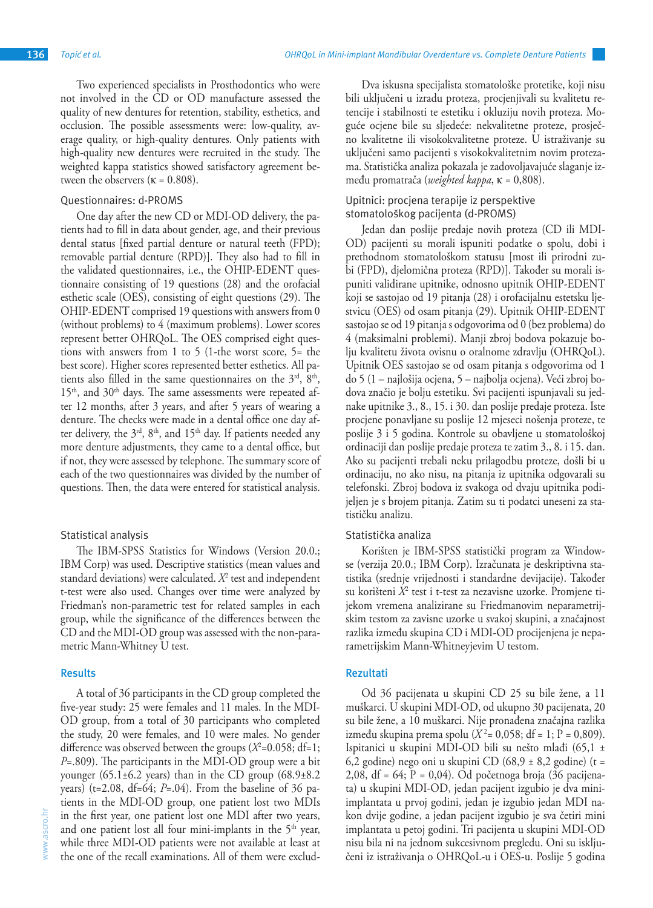Two experienced specialists in Prosthodontics who were not involved in the CD or OD manufacture assessed the quality of new dentures for retention, stability, esthetics, and occlusion. The possible assessments were: low-quality, average quality, or high-quality dentures. Only patients with high-quality new dentures were recruited in the study. The weighted kappa statistics showed satisfactory agreement between the observers ( $\kappa = 0.808$ ).

#### Questionnaires: d-PROMS

One day after the new CD or MDI-OD delivery, the patients had to fill in data about gender, age, and their previous dental status [fixed partial denture or natural teeth (FPD); removable partial denture (RPD)]. They also had to fill in the validated questionnaires, i.e., the OHIP-EDENT questionnaire consisting of 19 questions (28) and the orofacial esthetic scale (OES), consisting of eight questions (29). The OHIP-EDENT comprised 19 questions with answers from 0 (without problems) to 4 (maximum problems). Lower scores represent better OHRQoL. The OES comprised eight questions with answers from 1 to 5 (1-the worst score, 5= the best score). Higher scores represented better esthetics. All patients also filled in the same questionnaires on the  $3<sup>rd</sup>$ ,  $8<sup>th</sup>$ ,  $15<sup>th</sup>$ , and  $30<sup>th</sup>$  days. The same assessments were repeated after 12 months, after 3 years, and after 5 years of wearing a denture. The checks were made in a dental office one day after delivery, the  $3<sup>rd</sup>$ ,  $8<sup>th</sup>$ , and  $15<sup>th</sup>$  day. If patients needed any more denture adjustments, they came to a dental office, but if not, they were assessed by telephone. The summary score of each of the two questionnaires was divided by the number of questions. Then, the data were entered for statistical analysis.

## Statistical analysis

The IBM-SPSS Statistics for Windows (Version 20.0.; IBM Corp) was used. Descriptive statistics (mean values and standard deviations) were calculated. *X*<sup>2</sup> test and independent t-test were also used. Changes over time were analyzed by Friedman's non-parametric test for related samples in each group, while the significance of the differences between the CD and the MDI-OD group was assessed with the non-parametric Mann-Whitney U test.

#### **Results**

A total of 36 participants in the CD group completed the five-year study: 25 were females and 11 males. In the MDI-OD group, from a total of 30 participants who completed the study, 20 were females, and 10 were males. No gender difference was observed between the groups  $(X^2=0.058; df=1;$ *P*=.809). The participants in the MDI-OD group were a bit younger  $(65.1\pm6.2 \text{ years})$  than in the CD group  $(68.9\pm8.2 \text{ F})$ years) ( $t=2.08$ , df=64; *P*=.04). From the baseline of 36 patients in the MDI-OD group, one patient lost two MDIs in the first year, one patient lost one MDI after two years, and one patient lost all four mini-implants in the  $5<sup>th</sup>$  year, while three MDI-OD patients were not available at least at the one of the recall examinations. All of them were exclud-

Dva iskusna specijalista stomatološke protetike, koji nisu bili uključeni u izradu proteza, procjenjivali su kvalitetu retencije i stabilnosti te estetiku i okluziju novih proteza. Moguće ocjene bile su sljedeće: nekvalitetne proteze, prosječno kvalitetne ili visokokvalitetne proteze. U istraživanje su uključeni samo pacijenti s visokokvalitetnim novim protezama. Statistička analiza pokazala je zadovoljavajuće slaganje između promatrača (*weighted kappa*, κ = 0,808).

# Upitnici: procjena terapije iz perspektive stomatološkog pacijenta (d-PROMS)

Jedan dan poslije predaje novih proteza (CD ili MDI-OD) pacijenti su morali ispuniti podatke o spolu, dobi i prethodnom stomatološkom statusu [most ili prirodni zubi (FPD), djelomična proteza (RPD)]. Također su morali ispuniti validirane upitnike, odnosno upitnik OHIP-EDENT koji se sastojao od 19 pitanja (28) i orofacijalnu estetsku ljestvicu (OES) od osam pitanja (29). Upitnik OHIP-EDENT sastojao se od 19 pitanja s odgovorima od 0 (bez problema) do 4 (maksimalni problemi). Manji zbroj bodova pokazuje bolju kvalitetu života ovisnu o oralnome zdravlju (OHRQoL). Upitnik OES sastojao se od osam pitanja s odgovorima od 1 do 5 (1 – najlošija ocjena, 5 – najbolja ocjena). Veći zbroj bodova značio je bolju estetiku. Svi pacijenti ispunjavali su jednake upitnike 3., 8., 15. i 30. dan poslije predaje proteza. Iste procjene ponavljane su poslije 12 mjeseci nošenja proteze, te poslije 3 i 5 godina. Kontrole su obavljene u stomatološkoj ordinaciji dan poslije predaje proteza te zatim 3., 8. i 15. dan. Ako su pacijenti trebali neku prilagodbu proteze, došli bi u ordinaciju, no ako nisu, na pitanja iz upitnika odgovarali su telefonski. Zbroj bodova iz svakoga od dvaju upitnika podijeljen je s brojem pitanja. Zatim su ti podatci uneseni za statističku analizu.

# Statistička analiza

Korišten je IBM-SPSS statistički program za Windowse (verzija 20.0.; IBM Corp). Izračunata je deskriptivna statistika (srednje vrijednosti i standardne devijacije). Također su korišteni *X*<sup>2</sup> test i t-test za nezavisne uzorke. Promjene tijekom vremena analizirane su Friedmanovim neparametrijskim testom za zavisne uzorke u svakoj skupini, a značajnost razlika između skupina CD i MDI-OD procijenjena je neparametrijskim Mann-Whitneyjevim U testom.

## **Rezultati**

Od 36 pacijenata u skupini CD 25 su bile žene, a 11 muškarci. U skupini MDI-OD, od ukupno 30 pacijenata, 20 su bile žene, a 10 muškarci. Nije pronađena značajna razlika između skupina prema spolu ( $X^2 = 0.058$ ; df = 1; P = 0.809). Ispitanici u skupini MDI-OD bili su nešto mlađi (65,1 ± 6,2 godine) nego oni u skupini CD  $(68.9 \pm 8.2 \text{ godine})$  (t = 2,08, df = 64; P = 0,04). Od početnoga broja (36 pacijenata) u skupini MDI-OD, jedan pacijent izgubio je dva miniimplantata u prvoj godini, jedan je izgubio jedan MDI nakon dvije godine, a jedan pacijent izgubio je sva četiri mini implantata u petoj godini. Tri pacijenta u skupini MDI-OD nisu bila ni na jednom sukcesivnom pregledu. Oni su isključeni iz istraživanja o OHRQoL-u i OES-u. Poslije 5 godina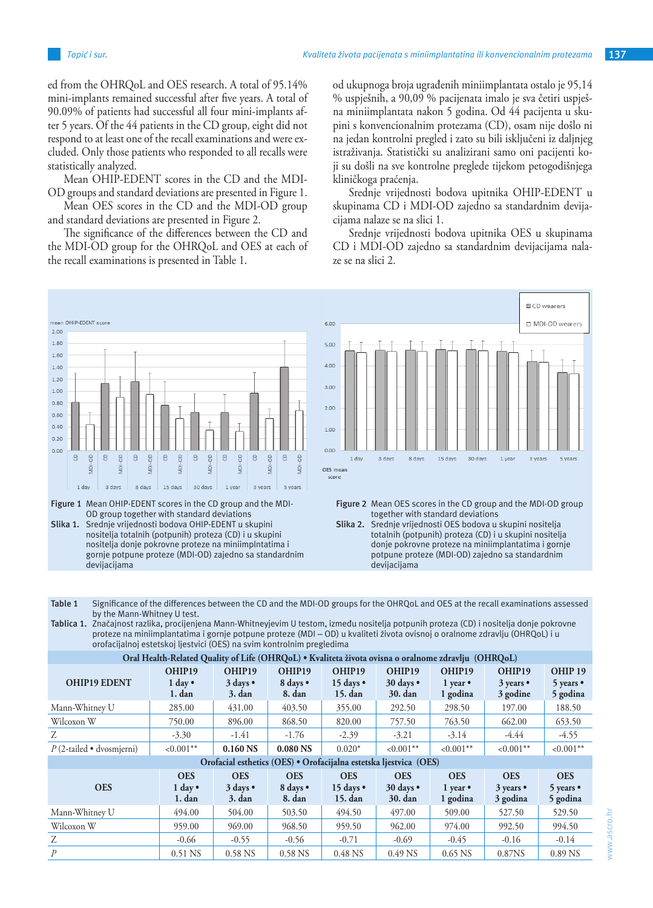ed from the OHRQoL and OES research. A total of 95.14% mini-implants remained successful after five years. A total of 90.09% of patients had successful all four mini-implants after 5 years. Of the 44 patients in the CD group, eight did not respond to at least one of the recall examinations and were excluded. Only those patients who responded to all recalls were statistically analyzed.

Mean OHIP-EDENT scores in the CD and the MDI-OD groups and standard deviations are presented in Figure 1.

Mean OES scores in the CD and the MDI-OD group and standard deviations are presented in Figure 2.

The significance of the differences between the CD and the MDI-OD group for the OHRQoL and OES at each of the recall examinations is presented in Table 1.

# od ukupnoga broja ugrađenih miniimplantata ostalo je 95,14 % uspješnih, a 90,09 % pacijenata imalo je sva četiri uspješna miniimplantata nakon 5 godina. Od 44 pacijenta u skupini s konvencionalnim protezama (CD), osam nije došlo ni na jedan kontrolni pregled i zato su bili isključeni iz daljnjeg istraživanja. Statistički su analizirani samo oni pacijenti koji su došli na sve kontrolne preglede tijekom petogodišnjega kliničkoga praćenja.

Srednje vrijednosti bodova upitnika OHIP-EDENT u skupinama CD i MDI-OD zajedno sa standardnim devijacijama nalaze se na slici 1.

Srednje vrijednosti bodova upitnika OES u skupinama CD i MDI-OD zajedno sa standardnim devijacijama nalaze se na slici 2.



Figure 1 Mean OHIP-EDENT scores in the CD group and the MDI-OD group together with standard deviations

**Slika 1.** Srednje vrijednosti bodova OHIP-EDENT u skupini nositelja totalnih (potpunih) proteza (CD) i u skupini nositelja donje pokrovne proteze na miniimplntatima i gornje potpune proteze (MDI-OD) zajedno sa standardnim devijacijama



Figure 2 Mean OES scores in the CD group and the MDI-OD group together with standard deviations

**Slika 2.** Srednje vrijednosti OES bodova u skupini nositelja totalnih (potpunih) proteza (CD) i u skupini nositelja donje pokrovne proteze na miniimplantatima i gornje potpune proteze (MDI-OD) zajedno sa standardnim devijacijama

**Table 1** Significance of the differences between the CD and the MDI-OD groups for the OHRQoL and OES at the recall examinations assessed by the Mann-Whitney U test.

**Tablica 1.** Značajnost razlika, procijenjena Mann-Whitneyjevim U testom, između nositelja potpunih proteza (CD) i nositelja donje pokrovne proteze na miniimplantatima i gornje potpune proteze (MDI – OD) u kvaliteti života ovisnoj o oralnome zdravlju (OHRQoL) i u orofacijalnoj estetskoj ljestvici (OES) na svim kontrolnim pregledima

| Oral Health-Related Quality of Life (OHRQoL) . Kvaliteta života ovisna o oralnome zdravlju (OHRQoL) |                                           |                                    |                                  |                                            |                                    |                                            |                                           |                                               |  |  |
|-----------------------------------------------------------------------------------------------------|-------------------------------------------|------------------------------------|----------------------------------|--------------------------------------------|------------------------------------|--------------------------------------------|-------------------------------------------|-----------------------------------------------|--|--|
| <b>OHIP19 EDENT</b>                                                                                 | OHIP19<br>$1$ day $\bullet$<br>$1.$ dan   | OHIP19<br>3 days •<br>$3.$ dan     | OHIP19<br>8 days •<br>8. dan     | OHIP19<br>15 days $\bullet$<br>15. dan     | OHIP19<br>30 days •<br>30. dan     | OHIP19<br>1 year $\bullet$<br>1 godina     | OHIP19<br>$3$ years $\bullet$<br>3 godine | OHIP <sub>19</sub><br>5 years •<br>5 godina   |  |  |
| Mann-Whitney U                                                                                      | 285.00                                    | 431.00                             | 403.50                           | 355.00                                     | 292.50                             | 298.50                                     | 197.00                                    | 188.50                                        |  |  |
| Wilcoxon W                                                                                          | 750.00                                    | 896.00                             | 868.50                           | 820.00                                     | 757.50                             | 763.50                                     | 662.00                                    | 653.50                                        |  |  |
| Z                                                                                                   | $-3.30$                                   | $-1.41$                            | $-1.76$                          | $-2.39$                                    | $-3.21$                            | $-3.14$                                    | $-4.44$                                   | $-4.55$                                       |  |  |
| $P(2$ -tailed • dvosmjerni)                                                                         | $< 0.001$ **                              | $0.160$ NS                         | 0.080 <sub>N</sub> S             | $0.020*$                                   | $< 0.001**$                        | $< 0.001$ **                               | $< 0.001$ **                              | $< 0.001$ **                                  |  |  |
| Orofacial esthetics (OES) • Orofacijalna estetska ljestvica (OES)                                   |                                           |                                    |                                  |                                            |                                    |                                            |                                           |                                               |  |  |
| <b>OES</b>                                                                                          | <b>OES</b><br>$1 \text{ day}$<br>$1.$ dan | <b>OES</b><br>3 days •<br>$3.$ dan | <b>OES</b><br>8 days •<br>8. dan | <b>OES</b><br>15 days $\bullet$<br>15. dan | <b>OES</b><br>30 days •<br>30. dan | <b>OES</b><br>1 year $\bullet$<br>1 godina | <b>OES</b><br>3 years •<br>3 godina       | <b>OES</b><br>$5$ years $\bullet$<br>5 godina |  |  |
| Mann-Whitney U                                                                                      | 494.00                                    | 504.00                             | 503.50                           | 494.50                                     | 497.00                             | 509.00                                     | 527.50                                    | 529.50                                        |  |  |
| Wilcoxon W                                                                                          | 959.00                                    | 969.00                             | 968.50                           | 959.50                                     | 962.00                             | 974.00                                     | 992.50                                    | 994.50                                        |  |  |
| Z                                                                                                   | $-0.66$                                   | $-0.55$                            | $-0.56$                          | $-0.71$                                    | $-0.69$                            | $-0.45$                                    | $-0.16$                                   | $-0.14$                                       |  |  |
| $\mathcal{P}$                                                                                       | 0.51 NS                                   | $0.58$ NS                          | 0.58 NS                          | 0.48 NS                                    | $0.49$ NS                          | $0.65$ NS                                  | 0.87NS                                    | 0.89 NS                                       |  |  |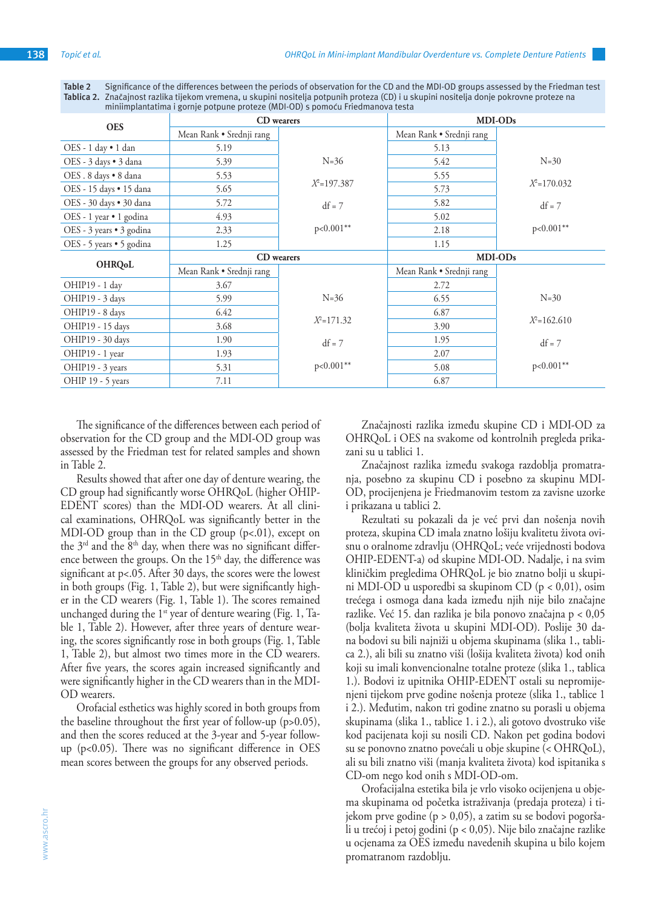**Table 2** Significance of the differences between the periods of observation for the CD and the MDI-OD groups assessed by the Friedman test **Tablica 2.** Značajnost razlika tijekom vremena, u skupini nositelja potpunih proteza (CD) i u skupini nositelja donje pokrovne proteze na miniimplantatima i gornje potpune proteze (MDI-OD) s pomoću Friedmanova testa

| <b>OES</b>               | CD wearers               |                | MDI-ODs                  |                 |  |
|--------------------------|--------------------------|----------------|--------------------------|-----------------|--|
|                          | Mean Rank • Srednji rang |                | Mean Rank • Srednji rang |                 |  |
| OES - 1 day • 1 dan      | 5.19                     |                | 5.13                     |                 |  |
| OES - 3 days • 3 dana    | 5.39                     | $N=36$         | 5.42                     | $N=30$          |  |
| OES. 8 days . 8 dana     | 5.53                     |                | 5.55                     |                 |  |
| OES - 15 days . 15 dana  | 5.65                     | $X^2=197.387$  | 5.73                     | $X^2 = 170.032$ |  |
| OES - 30 days . 30 dana  | 5.72                     | $df = 7$       | 5.82                     | $df = 7$        |  |
| OES - 1 year • 1 godina  | 4.93                     |                | 5.02                     |                 |  |
| OES - 3 years • 3 godina | 2.33                     | p<0.001**      | 2.18                     | $p<0.001**$     |  |
| OES - 5 years • 5 godina | 1.25                     |                | 1.15                     |                 |  |
| <b>OHRQoL</b>            | CD wearers               |                | MDI-ODs                  |                 |  |
|                          | Mean Rank • Srednji rang |                | Mean Rank • Srednji rang |                 |  |
| OHIP19 - 1 day           | 3.67                     |                | 2.72                     |                 |  |
| OHIP19 - 3 days          | 5.99                     | $N = 36$       | 6.55                     | $N=30$          |  |
| OHIP19 - 8 days          | 6.42                     |                | 6.87                     |                 |  |
| OHIP19 - 15 days         | 3.68                     | $X^2 = 171.32$ | 3.90                     | $X^2=162.610$   |  |
| OHIP19 - 30 days         | 1.90                     | $df = 7$       | 1.95                     | $df = 7$        |  |
| OHIP19 - 1 year          | 1.93                     |                | 2.07                     |                 |  |
| OHIP19 - 3 years         | 5.31                     | $p<0.001**$    | 5.08                     | p<0.001**       |  |
| OHIP 19 - 5 years        | 7.11                     |                | 6.87                     |                 |  |

The significance of the differences between each period of observation for the CD group and the MDI-OD group was assessed by the Friedman test for related samples and shown in Table 2.

Results showed that after one day of denture wearing, the CD group had significantly worse OHRQoL (higher OHIP-EDENT scores) than the MDI-OD wearers. At all clinical examinations, OHRQoL was significantly better in the MDI-OD group than in the CD group (p<.01), except on the  $3<sup>rd</sup>$  and the  $8<sup>th</sup>$  day, when there was no significant difference between the groups. On the  $15<sup>th</sup>$  day, the difference was significant at p<.05. After 30 days, the scores were the lowest in both groups (Fig. 1, Table 2), but were significantly higher in the CD wearers (Fig. 1, Table 1). The scores remained unchanged during the  $1<sup>st</sup>$  year of denture wearing (Fig. 1, Table 1, Table 2). However, after three years of denture wearing, the scores significantly rose in both groups (Fig. 1, Table 1, Table 2), but almost two times more in the CD wearers. After five years, the scores again increased significantly and were significantly higher in the CD wearers than in the MDI-OD wearers.

Orofacial esthetics was highly scored in both groups from the baseline throughout the first year of follow-up (p>0.05), and then the scores reduced at the 3-year and 5-year followup (p<0.05). There was no significant difference in OES mean scores between the groups for any observed periods.

Značajnosti razlika između skupine CD i MDI-OD za OHRQoL i OES na svakome od kontrolnih pregleda prikazani su u tablici 1.

Značajnost razlika između svakoga razdoblja promatranja, posebno za skupinu CD i posebno za skupinu MDI-OD, procijenjena je Friedmanovim testom za zavisne uzorke i prikazana u tablici 2.

Rezultati su pokazali da je već prvi dan nošenja novih proteza, skupina CD imala znatno lošiju kvalitetu života ovisnu o oralnome zdravlju (OHRQoL; veće vrijednosti bodova OHIP-EDENT-a) od skupine MDI-OD. Nadalje, i na svim kliničkim pregledima OHRQoL je bio znatno bolji u skupini MDI-OD u usporedbi sa skupinom CD (p < 0,01), osim trećega i osmoga dana kada između njih nije bilo značajne razlike. Već 15. dan razlika je bila ponovo značajna p < 0,05 (bolja kvaliteta života u skupini MDI-OD). Poslije 30 dana bodovi su bili najniži u objema skupinama (slika 1., tablica 2.), ali bili su znatno viši (lošija kvaliteta života) kod onih koji su imali konvencionalne totalne proteze (slika 1., tablica 1.). Bodovi iz upitnika OHIP-EDENT ostali su nepromijenjeni tijekom prve godine nošenja proteze (slika 1., tablice 1 i 2.). Međutim, nakon tri godine znatno su porasli u objema skupinama (slika 1., tablice 1. i 2.), ali gotovo dvostruko više kod pacijenata koji su nosili CD. Nakon pet godina bodovi su se ponovno znatno povećali u obje skupine (< OHRQoL), ali su bili znatno viši (manja kvaliteta života) kod ispitanika s CD-om nego kod onih s MDI-OD-om.

Orofacijalna estetika bila je vrlo visoko ocijenjena u objema skupinama od početka istraživanja (predaja proteza) i tijekom prve godine (p > 0,05), a zatim su se bodovi pogoršali u trećoj i petoj godini (p < 0,05). Nije bilo značajne razlike u ocjenama za OES između navedenih skupina u bilo kojem promatranom razdoblju.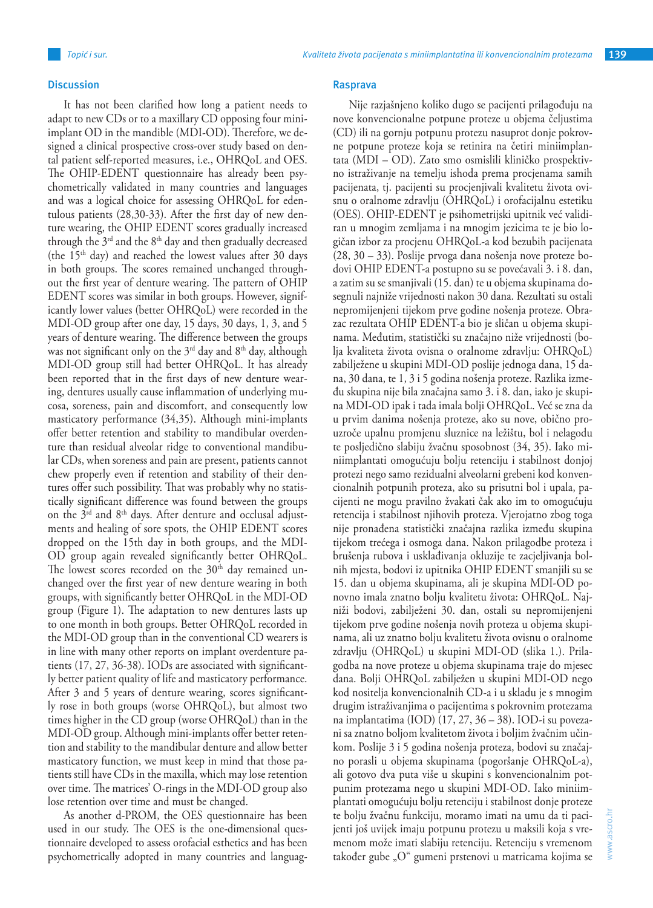It has not been clarified how long a patient needs to adapt to new CDs or to a maxillary CD opposing four miniimplant OD in the mandible (MDI-OD). Therefore, we designed a clinical prospective cross-over study based on dental patient self-reported measures, i.e., OHRQoL and OES. The OHIP-EDENT questionnaire has already been psychometrically validated in many countries and languages and was a logical choice for assessing OHRQoL for edentulous patients (28,30-33). After the first day of new denture wearing, the OHIP EDENT scores gradually increased through the  $3<sup>rd</sup>$  and the  $8<sup>th</sup>$  day and then gradually decreased (the  $15<sup>th</sup>$  day) and reached the lowest values after 30 days in both groups. The scores remained unchanged throughout the first year of denture wearing. The pattern of OHIP EDENT scores was similar in both groups. However, significantly lower values (better OHRQoL) were recorded in the MDI-OD group after one day, 15 days, 30 days, 1, 3, and 5 years of denture wearing. The difference between the groups was not significant only on the  $3<sup>rd</sup>$  day and  $8<sup>th</sup>$  day, although MDI-OD group still had better OHRQoL. It has already been reported that in the first days of new denture wearing, dentures usually cause inflammation of underlying mucosa, soreness, pain and discomfort, and consequently low masticatory performance (34,35). Although mini-implants offer better retention and stability to mandibular overdenture than residual alveolar ridge to conventional mandibular CDs, when soreness and pain are present, patients cannot chew properly even if retention and stability of their dentures offer such possibility. That was probably why no statistically significant difference was found between the groups on the  $3<sup>rd</sup>$  and  $8<sup>th</sup>$  days. After denture and occlusal adjustments and healing of sore spots, the OHIP EDENT scores dropped on the 15th day in both groups, and the MDI-OD group again revealed significantly better OHRQoL. The lowest scores recorded on the  $30<sup>th</sup>$  day remained unchanged over the first year of new denture wearing in both groups, with significantly better OHRQoL in the MDI-OD group (Figure 1). The adaptation to new dentures lasts up to one month in both groups. Better OHRQoL recorded in the MDI-OD group than in the conventional CD wearers is in line with many other reports on implant overdenture patients (17, 27, 36-38). IODs are associated with significantly better patient quality of life and masticatory performance. After 3 and 5 years of denture wearing, scores significantly rose in both groups (worse OHRQoL), but almost two times higher in the CD group (worse OHRQoL) than in the MDI-OD group. Although mini-implants offer better retention and stability to the mandibular denture and allow better masticatory function, we must keep in mind that those patients still have CDs in the maxilla, which may lose retention over time. The matrices' O-rings in the MDI-OD group also lose retention over time and must be changed.

As another d-PROM, the OES questionnaire has been used in our study. The OES is the one-dimensional questionnaire developed to assess orofacial esthetics and has been psychometrically adopted in many countries and languag-

### **Rasprava**

Nije razjašnjeno koliko dugo se pacijenti prilagođuju na nove konvencionalne potpune proteze u objema čeljustima (CD) ili na gornju potpunu protezu nasuprot donje pokrovne potpune proteze koja se retinira na četiri miniimplantata (MDI – OD). Zato smo osmislili kliničko prospektivno istraživanje na temelju ishoda prema procjenama samih pacijenata, tj. pacijenti su procjenjivali kvalitetu života ovisnu o oralnome zdravlju (OHRQoL) i orofacijalnu estetiku (OES). OHIP-EDENT je psihometrijski upitnik već validiran u mnogim zemljama i na mnogim jezicima te je bio logičan izbor za procjenu OHRQoL-a kod bezubih pacijenata (28, 30 – 33). Poslije prvoga dana nošenja nove proteze bodovi OHIP EDENT-a postupno su se povećavali 3. i 8. dan, a zatim su se smanjivali (15. dan) te u objema skupinama dosegnuli najniže vrijednosti nakon 30 dana. Rezultati su ostali nepromijenjeni tijekom prve godine nošenja proteze. Obrazac rezultata OHIP EDENT-a bio je sličan u objema skupinama. Međutim, statistički su značajno niže vrijednosti (bolja kvaliteta života ovisna o oralnome zdravlju: OHRQoL) zabilježene u skupini MDI-OD poslije jednoga dana, 15 dana, 30 dana, te 1, 3 i 5 godina nošenja proteze. Razlika između skupina nije bila značajna samo 3. i 8. dan, iako je skupina MDI-OD ipak i tada imala bolji OHRQoL. Već se zna da u prvim danima nošenja proteze, ako su nove, obično prouzroče upalnu promjenu sluznice na ležištu, bol i nelagodu te posljedično slabiju žvačnu sposobnost (34, 35). Iako miniimplantati omogućuju bolju retenciju i stabilnost donjoj protezi nego samo rezidualni alveolarni grebeni kod konvencionalnih potpunih proteza, ako su prisutni bol i upala, pacijenti ne mogu pravilno žvakati čak ako im to omogućuju retencija i stabilnost njihovih proteza. Vjerojatno zbog toga nije pronađena statistički značajna razlika između skupina tijekom trećega i osmoga dana. Nakon prilagodbe proteza i brušenja rubova i usklađivanja okluzije te zacjeljivanja bolnih mjesta, bodovi iz upitnika OHIP EDENT smanjili su se 15. dan u objema skupinama, ali je skupina MDI-OD ponovno imala znatno bolju kvalitetu života: OHRQoL. Najniži bodovi, zabilježeni 30. dan, ostali su nepromijenjeni tijekom prve godine nošenja novih proteza u objema skupinama, ali uz znatno bolju kvalitetu života ovisnu o oralnome zdravlju (OHRQoL) u skupini MDI-OD (slika 1.). Prilagodba na nove proteze u objema skupinama traje do mjesec dana. Bolji OHRQoL zabilježen u skupini MDI-OD nego kod nositelja konvencionalnih CD-a i u skladu je s mnogim drugim istraživanjima o pacijentima s pokrovnim protezama na implantatima (IOD) (17, 27, 36 – 38). IOD-i su povezani sa znatno boljom kvalitetom života i boljim žvačnim učinkom. Poslije 3 i 5 godina nošenja proteza, bodovi su značajno porasli u objema skupinama (pogoršanje OHRQoL-a), ali gotovo dva puta više u skupini s konvencionalnim potpunim protezama nego u skupini MDI-OD. Iako miniimplantati omogućuju bolju retenciju i stabilnost donje proteze te bolju žvačnu funkciju, moramo imati na umu da ti pacijenti još uvijek imaju potpunu protezu u maksili koja s vremenom može imati slabiju retenciju. Retenciju s vremenom također gube "O" gumeni prstenovi u matricama kojima se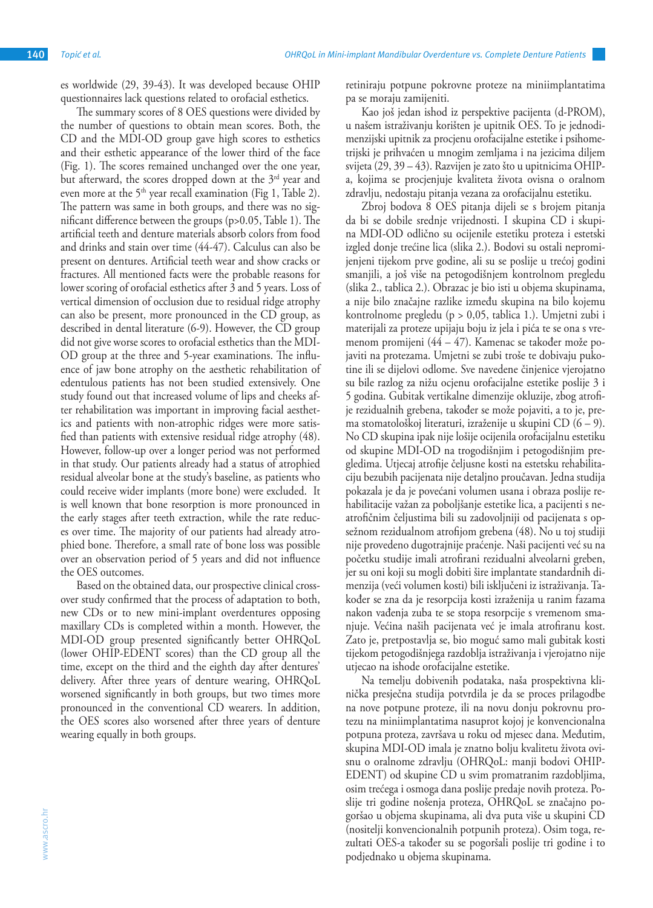es worldwide (29, 39-43). It was developed because OHIP questionnaires lack questions related to orofacial esthetics.

The summary scores of 8 OES questions were divided by the number of questions to obtain mean scores. Both, the CD and the MDI-OD group gave high scores to esthetics and their esthetic appearance of the lower third of the face (Fig. 1). The scores remained unchanged over the one year, but afterward, the scores dropped down at the  $3<sup>rd</sup>$  year and even more at the  $5<sup>th</sup>$  year recall examination (Fig 1, Table 2). The pattern was same in both groups, and there was no significant difference between the groups (p>0.05, Table 1). The artificial teeth and denture materials absorb colors from food and drinks and stain over time (44-47). Calculus can also be present on dentures. Artificial teeth wear and show cracks or fractures. All mentioned facts were the probable reasons for lower scoring of orofacial esthetics after 3 and 5 years. Loss of vertical dimension of occlusion due to residual ridge atrophy can also be present, more pronounced in the CD group, as described in dental literature (6-9). However, the CD group did not give worse scores to orofacial esthetics than the MDI-OD group at the three and 5-year examinations. The influence of jaw bone atrophy on the aesthetic rehabilitation of edentulous patients has not been studied extensively. One study found out that increased volume of lips and cheeks after rehabilitation was important in improving facial aesthetics and patients with non-atrophic ridges were more satisfied than patients with extensive residual ridge atrophy (48). However, follow-up over a longer period was not performed in that study. Our patients already had a status of atrophied residual alveolar bone at the study's baseline, as patients who could receive wider implants (more bone) were excluded. It is well known that bone resorption is more pronounced in the early stages after teeth extraction, while the rate reduces over time. The majority of our patients had already atrophied bone. Therefore, a small rate of bone loss was possible over an observation period of 5 years and did not influence the OES outcomes.

Based on the obtained data, our prospective clinical crossover study confirmed that the process of adaptation to both, new CDs or to new mini-implant overdentures opposing maxillary CDs is completed within a month. However, the MDI-OD group presented significantly better OHRQoL (lower OHIP-EDENT scores) than the CD group all the time, except on the third and the eighth day after dentures' delivery. After three years of denture wearing, OHRQoL worsened significantly in both groups, but two times more pronounced in the conventional CD wearers. In addition, the OES scores also worsened after three years of denture wearing equally in both groups.

retiniraju potpune pokrovne proteze na miniimplantatima pa se moraju zamijeniti.

Kao još jedan ishod iz perspektive pacijenta (d-PROM), u našem istraživanju korišten je upitnik OES. To je jednodimenzijski upitnik za procjenu orofacijalne estetike i psihometrijski je prihvaćen u mnogim zemljama i na jezicima diljem svijeta (29, 39 – 43). Razvijen je zato što u upitnicima OHIPa, kojima se procjenjuje kvaliteta života ovisna o oralnom zdravlju, nedostaju pitanja vezana za orofacijalnu estetiku.

Zbroj bodova 8 OES pitanja dijeli se s brojem pitanja da bi se dobile srednje vrijednosti. I skupina CD i skupina MDI-OD odlično su ocijenile estetiku proteza i estetski izgled donje trećine lica (slika 2.). Bodovi su ostali nepromijenjeni tijekom prve godine, ali su se poslije u trećoj godini smanjili, a još više na petogodišnjem kontrolnom pregledu (slika 2., tablica 2.). Obrazac je bio isti u objema skupinama, a nije bilo značajne razlike između skupina na bilo kojemu kontrolnome pregledu (p > 0,05, tablica 1.). Umjetni zubi i materijali za proteze upijaju boju iz jela i pića te se ona s vremenom promijeni (44 – 47). Kamenac se također može pojaviti na protezama. Umjetni se zubi troše te dobivaju pukotine ili se dijelovi odlome. Sve navedene činjenice vjerojatno su bile razlog za nižu ocjenu orofacijalne estetike poslije 3 i 5 godina. Gubitak vertikalne dimenzije okluzije, zbog atrofije rezidualnih grebena, također se može pojaviti, a to je, prema stomatološkoj literaturi, izraženije u skupini CD (6 – 9). No CD skupina ipak nije lošije ocijenila orofacijalnu estetiku od skupine MDI-OD na trogodišnjim i petogodišnjim pregledima. Utjecaj atrofije čeljusne kosti na estetsku rehabilitaciju bezubih pacijenata nije detaljno proučavan. Jedna studija pokazala je da je povećani volumen usana i obraza poslije rehabilitacije važan za poboljšanje estetike lica, a pacijenti s neatrofičnim čeljustima bili su zadovoljniji od pacijenata s opsežnom rezidualnom atrofijom grebena (48). No u toj studiji nije provedeno dugotrajnije praćenje. Naši pacijenti već su na početku studije imali atrofirani rezidualni alveolarni greben, jer su oni koji su mogli dobiti šire implantate standardnih dimenzija (veći volumen kosti) bili isključeni iz istraživanja. Također se zna da je resorpcija kosti izraženija u ranim fazama nakon vađenja zuba te se stopa resorpcije s vremenom smanjuje. Većina naših pacijenata već je imala atrofiranu kost. Zato je, pretpostavlja se, bio moguć samo mali gubitak kosti tijekom petogodišnjega razdoblja istraživanja i vjerojatno nije utjecao na ishode orofacijalne estetike.

Na temelju dobivenih podataka, naša prospektivna klinička presječna studija potvrdila je da se proces prilagodbe na nove potpune proteze, ili na novu donju pokrovnu protezu na miniimplantatima nasuprot kojoj je konvencionalna potpuna proteza, završava u roku od mjesec dana. Međutim, skupina MDI-OD imala je znatno bolju kvalitetu života ovisnu o oralnome zdravlju (OHRQoL: manji bodovi OHIP-EDENT) od skupine CD u svim promatranim razdobljima, osim trećega i osmoga dana poslije predaje novih proteza. Poslije tri godine nošenja proteza, OHRQoL se značajno pogoršao u objema skupinama, ali dva puta više u skupini CD (nositelji konvencionalnih potpunih proteza). Osim toga, rezultati OES-a također su se pogoršali poslije tri godine i to podjednako u objema skupinama.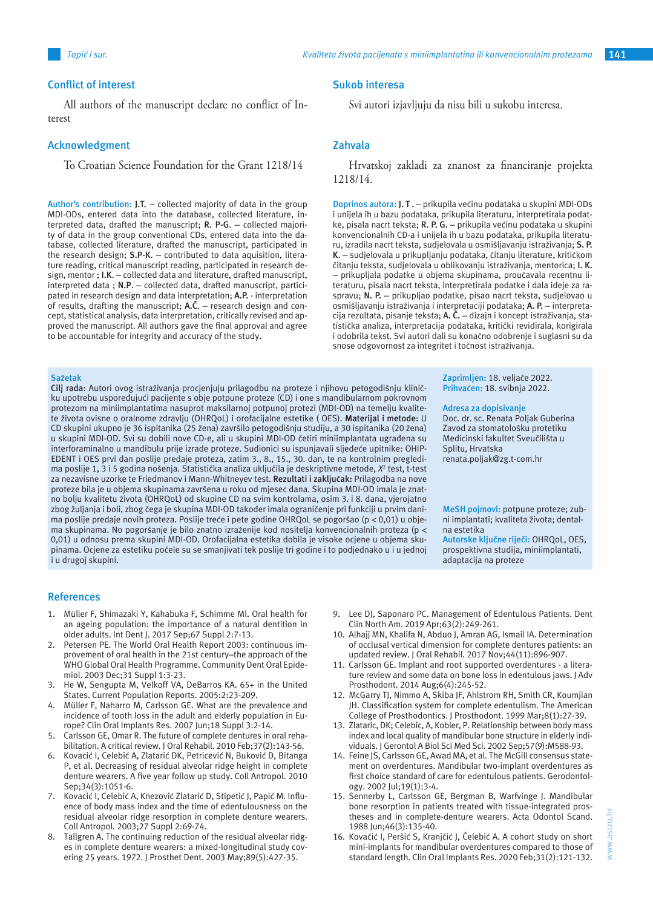Svi autori izjavljuju da nisu bili u sukobu interesa.

Hrvatskoj zakladi za znanost za financiranje projekta

**Doprinos autora: J. T .** – prikupila većinu podataka u skupini MDI-ODs i unijela ih u bazu podataka, prikupila literaturu, interpretirala podatke, pisala nacrt teksta; **R. P. G.** – prikupila većinu podataka u skupini konvencionalnih CD-a i unijela ih u bazu podataka, prikupila literaturu, izradila nacrt teksta, sudjelovala u osmišljavanju istraživanja; **S. P. K**. – sudjelovala u prikupljanju podataka, čitanju literature, kritičkom čitanju teksta, sudjelovala u oblikovanju istraživanja, mentorica; **I. K.** – prikupljala podatke u objema skupinama, proučavala recentnu literaturu, pisala nacrt teksta, interpretirala podatke i dala ideje za raspravu; **N. P.** – prikupljao podatke, pisao nacrt teksta, sudjelovao u osmišljavanju istraživanja i interpretaciji podataka; **A. P.** – interpretacija rezultata, pisanje teksta; **A. Č.** – dizajn i koncept istraživanja, statistička analiza, interpretacija podataka, kritički revidirala, korigirala i odobrila tekst. Svi autori dali su konačno odobrenje i suglasni su da

snose odgovornost za integritet i točnost istraživanja.

**Sukob interesa**

**Zahvala**

1218/14.

#### **Conflict of interest**

All authors of the manuscript declare no conflict of Interest

#### **Acknowledgment**

To Croatian Science Foundation for the Grant 1218/14

**Author's contribution: J.T.** – collected majority of data in the group MDI-ODs, entered data into the database, collected literature, interpreted data, drafted the manuscript; **R. P-G**. – collected majority of data in the group conventional CDs, entered data into the database, collected literature, drafted the manuscript, participated in the research design; **S.P-K**. – contributed to data aquisition, literature reading, critical manuscript reading, participated in research design, mentor ; **I.K**. – collected data and literature, drafted manuscript, interpreted data ; **N.P**. – collected data, drafted manuscript, participated in research design and data interpretation; **A.P.** - interpretation of results, drafting the manuscript; **A.Č**. – research design and concept, statistical analysis, data interpretation, critically revised and approved the manuscript. All authors gave the final approval and agree to be accountable for integrity and accuracy of the study**.**

#### **Sažetak**

**Cilj rada:** Autori ovog istraživanja procjenjuju prilagodbu na proteze i njihovu petogodišnju kliničku upotrebu uspoređujući pacijente s obje potpune proteze (CD) i one s mandibularnom pokrovnom protezom na miniimplantatima nasuprot maksilarnoj potpunoj protezi (MDI-OD) na temelju kvalitete života ovisne o oralnome zdravlju (OHRQoL) i orofacijalne estetike ( OES). **Materijal i metode:** U CD skupini ukupno je 36 ispitanika (25 žena) završilo petogodišnju studiju, a 30 ispitanika (20 žena) u skupini MDI-OD. Svi su dobili nove CD-e, ali u skupini MDI-OD četiri miniimplantata ugrađena su interforaminalno u mandibulu prije izrade proteze. Sudionici su ispunjavali sljedeće upitnike: OHIP-EDENT i OES prvi dan poslije predaje proteza, zatim 3., 8., 15., 30. dan, te na kontrolnim pregledima poslije 1, 3 i 5 godina nošenja. Statistička analiza uključila je deskriptivne metode, *X*<sup>2</sup> test, t-test za nezavisne uzorke te Friedmanov i Mann-Whitneyev test. **Rezultati i zaključak:** Prilagodba na nove proteze bila je u objema skupinama završena u roku od mjesec dana. Skupina MDI-OD imala je znatno bolju kvalitetu života (OHRQoL) od skupine CD na svim kontrolama, osim 3. i 8. dana, vjerojatno zbog žuljanja i boli, zbog čega je skupina MDI-OD također imala ograničenje pri funkciji u prvim danima poslije predaje novih proteza. Poslije treće i pete godine OHRQoL se pogoršao (p < 0,01) u objema skupinama. No pogoršanje je bilo znatno izraženije kod nositelja konvencionalnih proteza (p < 0,01) u odnosu prema skupini MDI-OD. Orofacijalna estetika dobila je visoke ocjene u objema skupinama. Ocjene za estetiku počele su se smanjivati tek poslije tri godine i to podjednako u i u jednoj i u drugoj skupini.

**Zaprimljen:** 18. veljače 2022. **Prihvaćen:** 18. svibnja 2022.

#### **Adresa za dopisivanje**

Doc. dr. sc. Renata Poljak Guberina Zavod za stomatološku protetiku Medicinski fakultet Sveučilišta u Splitu, Hrvatska renata.poljak@zg.t-com.hr

**MeSH pojmovi:** potpune proteze; zubni implantati; kvaliteta života; dentalna estetika

**Autorske ključne riječi:** OHRQoL, OES, prospektivna studija, miniimplantati, adaptacija na proteze

## **References**

- 1. Müller F, Shimazaki Y, Kahabuka F, Schimme Ml. Oral health for an ageing population: the importance of a natural dentition in older adults. Int Dent J. 2017 Sep;67 Suppl 2:7-13.
- 2. Petersen PE. The World Oral Health Report 2003: continuous improvement of oral health in the 21st century–the approach of the WHO Global Oral Health Programme. Community Dent Oral Epidemiol. 2003 Dec;31 Suppl 1:3-23.
- 3. He W, Sengupta M, Velkoff VA, DeBarros KA. 65+ in the United States. Current Population Reports. 2005:2:23-209.
- 4. Müller F, Naharro M, Carlsson GE. What are the prevalence and incidence of tooth loss in the adult and elderly population in Europe? Clin Oral Implants Res. 2007 Jun;18 Suppl 3:2-14.
- 5. Carlsson GE, Omar R. The future of complete dentures in oral rehabilitation. A critical review. J Oral Rehabil. 2010 Feb;37(2):143-56.
- Kovacić I, Celebić A, Zlatarić DK, Petricević N, Buković D, Bitanga P, et al. Decreasing of residual alveolar ridge height in complete denture wearers. A five year follow up study. Coll Antropol. 2010 Sep;34(3):1051-6.
- 7. Kovacić I, Celebić A, Knezović Zlatarić D, Stipetić J, Papić M. Influence of body mass index and the time of edentulousness on the residual alveolar ridge resorption in complete denture wearers. Coll Antropol. 2003;27 Suppl 2:69-74.
- 8. Tallgren A. The continuing reduction of the residual alveolar ridges in complete denture wearers: a mixed-longitudinal study covering 25 years. 1972. J Prosthet Dent. 2003 May;89(5):427-35.
- 9. Lee DJ, Saponaro PC. Management of Edentulous Patients. Dent Clin North Am. 2019 Apr;63(2):249-261.
- 10. Alhajj MN, Khalifa N, Abduo J, Amran AG, Ismail IA. Determination of occlusal vertical dimension for complete dentures patients: an updated review. J Oral Rehabil. 2017 Nov;44(11):896-907.
- 11. Carlsson GE. Implant and root supported overdentures a literature review and some data on bone loss in edentulous jaws. J Adv Prosthodont. 2014 Aug;6(4):245-52.
- 12. McGarry TJ, Nimmo A, Skiba JF, Ahlstrom RH, Smith CR, Koumjian JH. Classification system for complete edentulism. The American College of Prosthodontics. J Prosthodont. 1999 Mar;8(1):27-39.
- 13. Zlataric, DK; Celebic, A, Kobler, P. Relationship between body mass index and local quality of mandibular bone structure in elderly individuals. J Gerontol A Biol Sci Med Sci. 2002 Sep;57(9):M588-93.
- 14. Feine JS, Carlsson GE, Awad MA, et al. The McGill consensus statement on overdentures. Mandibular two-implant overdentures as first choice standard of care for edentulous patients. Gerodontology. 2002 Jul;19(1):3-4.
- 15. Sennerby L, Carlsson GE, Bergman B, Warfvinge J. Mandibular bone resorption in patients treated with tissue-integrated prostheses and in complete-denture wearers. Acta Odontol Scand. 1988 Jun;46(3):135-40.
- 16. Kovačić I, Peršić S, Kranjčić J, Čelebić A. A cohort study on short mini-implants for mandibular overdentures compared to those of standard length. Clin Oral Implants Res. 2020 Feb;31(2):121-132.